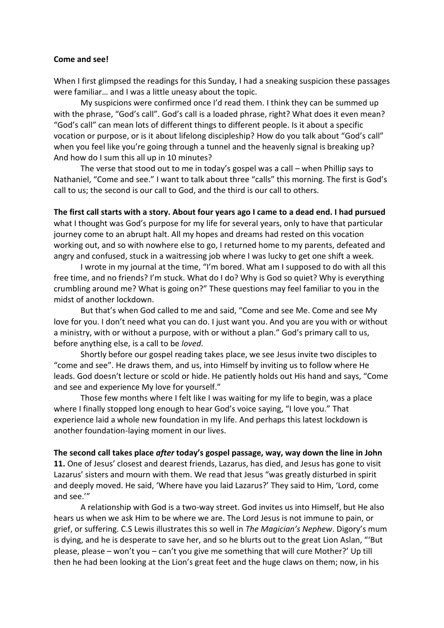## **Come and see!**

When I first glimpsed the readings for this Sunday, I had a sneaking suspicion these passages were familiar… and I was a little uneasy about the topic.

My suspicions were confirmed once I'd read them. I think they can be summed up with the phrase, "God's call". God's call is a loaded phrase, right? What does it even mean? "God's call" can mean lots of different things to different people. Is it about a specific vocation or purpose, or is it about lifelong discipleship? How do you talk about "God's call" when you feel like you're going through a tunnel and the heavenly signal is breaking up? And how do I sum this all up in 10 minutes?

The verse that stood out to me in today's gospel was a call – when Phillip says to Nathaniel, "Come and see." I want to talk about three "calls" this morning. The first is God's call to us; the second is our call to God, and the third is our call to others.

**The first call starts with a story. About four years ago I came to a dead end. I had pursued**  what I thought was God's purpose for my life for several years, only to have that particular journey come to an abrupt halt. All my hopes and dreams had rested on this vocation working out, and so with nowhere else to go, I returned home to my parents, defeated and angry and confused, stuck in a waitressing job where I was lucky to get one shift a week.

I wrote in my journal at the time, "I'm bored. What am I supposed to do with all this free time, and no friends? I'm stuck. What do I do? Why is God so quiet? Why is everything crumbling around me? What is going on?" These questions may feel familiar to you in the midst of another lockdown.

But that's when God called to me and said, "Come and see Me. Come and see My love for you. I don't need what you can do. I just want you. And you are you with or without a ministry, with or without a purpose, with or without a plan." God's primary call to us, before anything else, is a call to be *loved*.

Shortly before our gospel reading takes place, we see Jesus invite two disciples to "come and see". He draws them, and us, into Himself by inviting us to follow where He leads. God doesn't lecture or scold or hide. He patiently holds out His hand and says, "Come and see and experience My love for yourself."

Those few months where I felt like I was waiting for my life to begin, was a place where I finally stopped long enough to hear God's voice saying, "I love you." That experience laid a whole new foundation in my life. And perhaps this latest lockdown is another foundation-laying moment in our lives.

**The second call takes place** *after* **today's gospel passage, way, way down the line in John** 

**11.** One of Jesus' closest and dearest friends, Lazarus, has died, and Jesus has gone to visit Lazarus' sisters and mourn with them. We read that Jesus "was greatly disturbed in spirit and deeply moved. He said, 'Where have you laid Lazarus?' They said to Him, 'Lord, come and see.'"

A relationship with God is a two-way street. God invites us into Himself, but He also hears us when we ask Him to be where we are. The Lord Jesus is not immune to pain, or grief, or suffering. C.S Lewis illustrates this so well in *The Magician's Nephew*. Digory's mum is dying, and he is desperate to save her, and so he blurts out to the great Lion Aslan, "'But please, please – won't you – can't you give me something that will cure Mother?' Up till then he had been looking at the Lion's great feet and the huge claws on them; now, in his